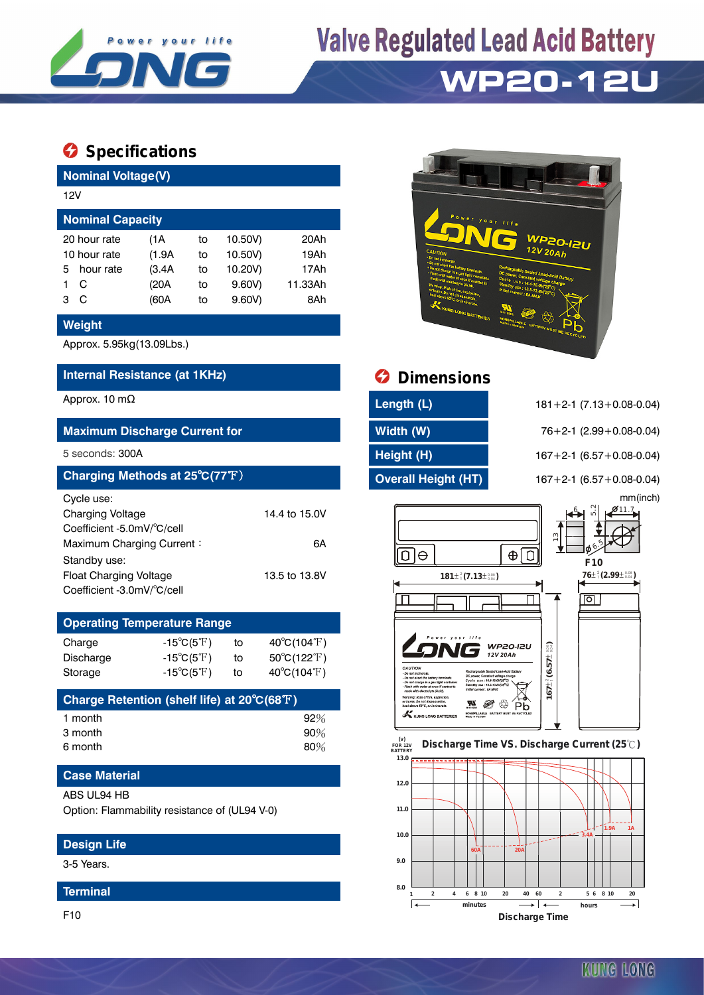

# **Valve Regulated Lead Acid Battery**

## **WP20-12U**

### **Specifications**

| <b>Nominal Voltage(V)</b>            |           |        |    |         |         |  |  |  |
|--------------------------------------|-----------|--------|----|---------|---------|--|--|--|
| 12V                                  |           |        |    |         |         |  |  |  |
| <b>Nominal Capacity</b>              |           |        |    |         |         |  |  |  |
| 10.50V)<br>20 hour rate<br>(1A<br>to |           |        |    |         | 20Ah    |  |  |  |
| 10 hour rate                         |           | (1.9A) | to | 10.50V) | 19Ah    |  |  |  |
| 5.                                   | hour rate | (3.4A  | to | 10.20V) | 17Ah    |  |  |  |
|                                      | C         | (20A   | to | 9.60V   | 11.33Ah |  |  |  |
| з                                    | C         | (60A   | to | 9.60V   | 8Ah     |  |  |  |

#### **Weight**

Approx. 5.95kg(13.09Lbs.)

#### **Internal Resistance (at 1KHz)**

#### **Maximum Discharge Current for Width (W)** 76+2-1 (2.99+0.08-0.04)

| Charging Methods at 25°C(77°F) |               |
|--------------------------------|---------------|
| Cycle use:                     |               |
| <b>Charging Voltage</b>        | 14.4 to 15.0V |
| Coefficient -5.0mV/°C/cell     |               |
| Maximum Charging Current:      | 6A            |
| Standby use:                   |               |
| Float Charging Voltage         | 13.5 to 13.8V |
| Coefficient -3.0mV/°C/cell     |               |

### **Operating Temperature Range**

| Charge           | -15 $^{\circ}$ C(5 $^{\circ}$ F) | to | $40^{\circ}C(104^{\circ}F)$      |
|------------------|----------------------------------|----|----------------------------------|
| <b>Discharge</b> | $-15^{\circ}C(5^{\circ}F)$       | to | $50^{\circ}$ C(122 $^{\circ}$ F) |
| Storage          | $-15^{\circ}C(5^{\circ}F)$       | to | $40^{\circ}C(104^{\circ}F)$      |

| Charge Retention (shelf life) at 20°C(68°F) |        |
|---------------------------------------------|--------|
| 1 month                                     | $92\%$ |
| 3 month                                     | $90\%$ |
| 6 month                                     | $80\%$ |

#### **Case Material**

#### ABS UL94 HB

Option: Flammability resistance of (UL94 V-0)

#### **Design Life**

3-5 Years.

#### **Terminal**

F10



| Approx. 10 m $\Omega$                | Length (L)                 | $181 + 2 - 1$ (7.13 + 0.08 - 0.04) |
|--------------------------------------|----------------------------|------------------------------------|
| <b>Maximum Discharge Current for</b> | Width (W)                  | $76+2-1$ (2.99 + 0.08-0.04)        |
| 5 seconds: 300A                      | Height (H)                 | $167 + 2 - 1$ (6.57 + 0.08-0.04)   |
| Charging Methods at 25°C(77°F)       | <b>Overall Height (HT)</b> | $167 + 2 - 1$ (6.57 + 0.08-0.04)   |

5 seconds: 300A **Height (H)** 167+2-1 (6.57+0.08-0.04) **Charging Methods at 25**℃**(77**℉) **Overall Height (HT)** 167+2-1 (6.57+0.08-0.04) mm(inch)